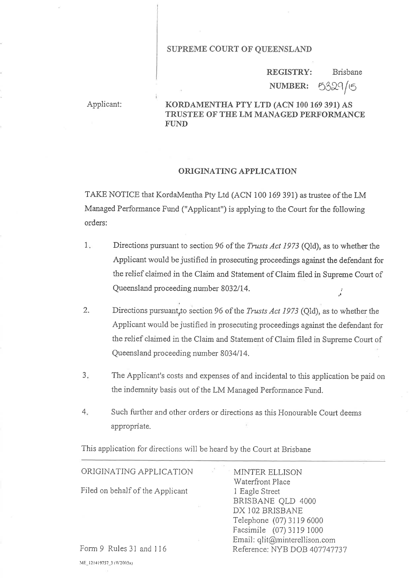#### SUPREME COURT OF QUEENSLAND

Brisbane 5329/15 REGISTRY: NUMBER:

# Applicant: KORDAMENTHA PTY LTD (ACN 100 169 391) AS TRUSTEE OF THE LM MANAGED PERFORMANCE FUND

#### ORIGINATING APPLICATION

TAKE NOTICE that KordaMentha Pty Ltd (ACN 100 169 391) as trustee of the LM Managed Performance Fund ("Applicant") is applying to the Court for the following orders:

- Directions pursuant to section 96 of the *Trusts Act 1973* (Old), as to whether the Applicant would be justified in prosecuting proceedings against the defendant for the relief claimed in the Claim and Statement of Claim filed in Supreme Court of Queensland proceeding number 8032114. .,  $1.$
- Directions pursuant, to section 96 of the *Trusts Act 1973* (Qld), as to whether the Applicant would be justified in prosecuting proceedings against the defendant for the relief claimed in the Claim and Statement of Claim filed in Supreme Court of Queensland proceeding number 8034/14. 2.
- The Applicant's costs and expenses of and incidental to this application be paid on the indemnity basis out of the LM Managed Performance Fund.  $3<sub>n</sub>$
- Such further and other orders or directions as this Honourable Court deems appropriate.  $4.$

This application for directions will be heard by the Court at Brisbane

### ORIGINATING APPLICATION

Filed on behalf of the Applicant

MINTER ELLISON Waterfront Place 1 Eagle Street BRISBANE OLD 4000 DX 102 BRISBANE Telephone (07) 3l l9 6000 Facsimile (07) 31 19 1000 Email: qlit@minterellison.com Reference: NYB DOB 407747137

Form 9 Rules 31 and 116 ME\_121419757\_3 (W2003x)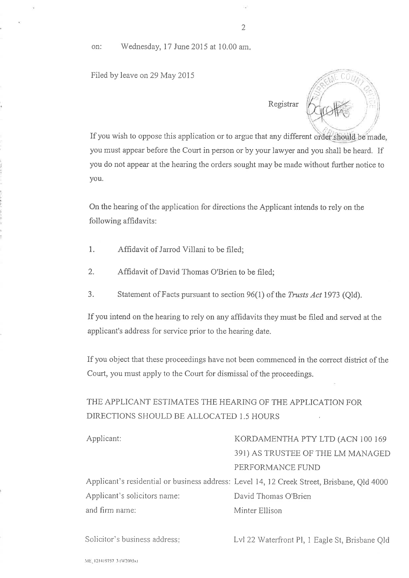on: Wednesday, 17 June 2015 at 10.00 am.

Filed by leave on 29 May 2015  $\sqrt{10}$  COU



If you wish to oppose this application or to argue that any different you must appear before the Court in person or by your lawyer and you shall be heard. If you do not appear at the hearing the orders sought may be made without further notice to you.

On the hearing of the application for directions the Applicant intends to rely on the following affidavits:

- 1. Affidavit of Jarrod Villani to be filed;
- 2. Affidavit of David Thomas O'Brien to be filed;
- 3. Statement of Facts pursuant to section 96(1) of the Trusts Act 1973 (Qld).

If you intend on the hearing to rely on any affidavits they must be filed and served at the applicant's address for service prior to the hearing date.

If you object that these proceedings have not been commenced in the correct district of the Court, you must apply to the Court for dismissal of the proceedings.

# THE APPLICANT ESTIMATES THE HEARING OF THE APPLICATION FOR DIRECTIONS SHOULD BE ALLOCATED 1.5 HOURS

| Applicant:                   | KORDAMENTHA PTY LTD (ACN 100 169                                                           |
|------------------------------|--------------------------------------------------------------------------------------------|
|                              |                                                                                            |
|                              | 391) AS TRUSTEE OF THE LM MANAGED                                                          |
|                              | PERFORMANCE FUND                                                                           |
|                              | Applicant's residential or business address: Level 14, 12 Creek Street, Brisbane, Qld 4000 |
| Applicant's solicitors name: | David Thomas O'Brien                                                                       |
| and firm name:               | Minter Ellison                                                                             |
|                              |                                                                                            |

Solicitor's business address

Lvl 22 Waterfront Pl, 1 Eagle St, Brisbane Qld